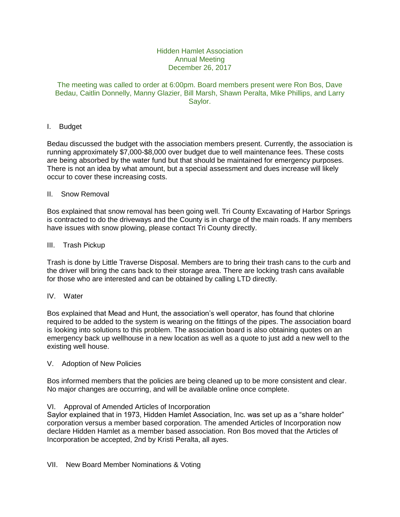# Hidden Hamlet Association Annual Meeting December 26, 2017

## The meeting was called to order at 6:00pm. Board members present were Ron Bos, Dave Bedau, Caitlin Donnelly, Manny Glazier, Bill Marsh, Shawn Peralta, Mike Phillips, and Larry Saylor.

# I. Budget

Bedau discussed the budget with the association members present. Currently, the association is running approximately \$7,000-\$8,000 over budget due to well maintenance fees. These costs are being absorbed by the water fund but that should be maintained for emergency purposes. There is not an idea by what amount, but a special assessment and dues increase will likely occur to cover these increasing costs.

#### II. Snow Removal

Bos explained that snow removal has been going well. Tri County Excavating of Harbor Springs is contracted to do the driveways and the County is in charge of the main roads. If any members have issues with snow plowing, please contact Tri County directly.

#### III. Trash Pickup

Trash is done by Little Traverse Disposal. Members are to bring their trash cans to the curb and the driver will bring the cans back to their storage area. There are locking trash cans available for those who are interested and can be obtained by calling LTD directly.

# IV. Water

Bos explained that Mead and Hunt, the association's well operator, has found that chlorine required to be added to the system is wearing on the fittings of the pipes. The association board is looking into solutions to this problem. The association board is also obtaining quotes on an emergency back up wellhouse in a new location as well as a quote to just add a new well to the existing well house.

## V. Adoption of New Policies

Bos informed members that the policies are being cleaned up to be more consistent and clear. No major changes are occurring, and will be available online once complete.

#### VI. Approval of Amended Articles of Incorporation

Saylor explained that in 1973, Hidden Hamlet Association, Inc. was set up as a "share holder" corporation versus a member based corporation. The amended Articles of Incorporation now declare Hidden Hamlet as a member based association. Ron Bos moved that the Articles of Incorporation be accepted, 2nd by Kristi Peralta, all ayes.

VII. New Board Member Nominations & Voting